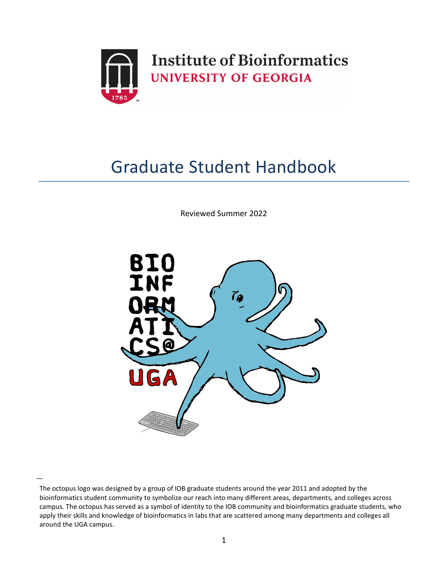

# Graduate Student Handbook

Reviewed Summer 2022



͟

The octopus logo was designed by a group of IOB graduate students around the year 2011 and adopted by the bioinformatics student community to symbolize our reach into many different areas, departments, and colleges across campus. The octopus has served as a symbol of identity to the IOB community and bioinformatics graduate students, who apply their skills and knowledge of bioinformatics in labs that are scattered among many departments and colleges all around the UGA campus.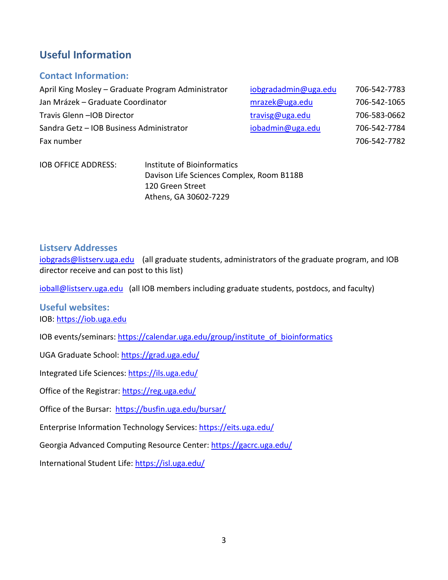## **Useful Information**

## **Contact Information:**

| April King Mosley - Graduate Program Administrator | iobgradadmin@uga.edu | 706-542-7783 |
|----------------------------------------------------|----------------------|--------------|
| Jan Mrázek – Graduate Coordinator                  | mrazek@uga.edu       | 706-542-1065 |
| Travis Glenn - IOB Director                        | travisg@uga.edu      | 706-583-0662 |
| Sandra Getz - IOB Business Administrator           | iobadmin@uga.edu     | 706-542-7784 |
| Fax number                                         |                      | 706-542-7782 |
|                                                    |                      |              |

| IOB OFFICE ADDRESS: | Institute of Bioinformatics               |
|---------------------|-------------------------------------------|
|                     | Davison Life Sciences Complex, Room B118B |
|                     | 120 Green Street                          |
|                     | Athens, GA 30602-7229                     |

### **Listserv Addresses**

[iobgrads@listserv.uga.edu](mailto:iobgrads@listserv.uga.edu) (all graduate students, administrators of the graduate program, and IOB director receive and can post to this list)

[ioball@listserv.uga.edu](mailto:ioball@listserv.uga.edu) (all IOB members including graduate students, postdocs, and faculty)

**Useful websites:**  IOB: [https://iob.uga.edu](https://iob.uga.edu/) 

IOB events/seminars: https://calendar.uga.edu/group/institute\_of\_bioinformatics

UGA Graduate School[: https://grad.uga.edu/](https://grad.uga.edu/) 

Integrated Life Sciences: https://ils.uga.edu/

Office of the Registrar:<https://reg.uga.edu/>

Office of the Bursar: https://busfin.uga.edu/bursar/

Enterprise Information Technology Services:<https://eits.uga.edu/>

Georgia Advanced Computing Resource Center[: https://gacrc.uga.edu/](https://gacrc.uga.edu/) 

International Student Life[: https://isl.uga.edu/](https://isl.uga.edu/)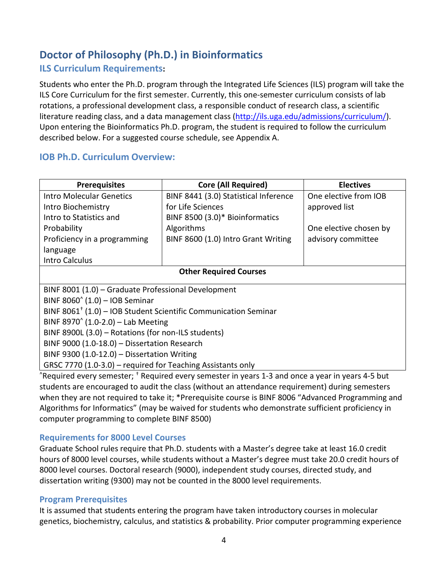# **Doctor of Philosophy (Ph.D.) in Bioinformatics**

## **ILS Curriculum Requirements:**

Students who enter the Ph.D. program through the Integrated Life Sciences (ILS) program will take the ILS Core Curriculum for the first semester. Currently, this one-semester curriculum consists of lab rotations, a professional development class, a responsible conduct of research class, a scientific literature reading class, and a data management class [\(http://ils.uga.edu/admissions/curriculum/\)](http://ils.uga.edu/admissions/curriculum/). Upon entering the Bioinformatics Ph.D. program, the student is required to follow the curriculum described below. For a suggested course schedule, see Appendix A.

## **IOB Ph.D. Curriculum Overview:**

| <b>Prerequisites</b>                                                     | <b>Core (All Required)</b>                                                               | <b>Electives</b>       |  |  |  |  |
|--------------------------------------------------------------------------|------------------------------------------------------------------------------------------|------------------------|--|--|--|--|
| <b>Intro Molecular Genetics</b><br>BINF 8441 (3.0) Statistical Inference |                                                                                          | One elective from IOB  |  |  |  |  |
| Intro Biochemistry                                                       | for Life Sciences                                                                        | approved list          |  |  |  |  |
| Intro to Statistics and                                                  | BINF 8500 (3.0)* Bioinformatics                                                          |                        |  |  |  |  |
| Probability                                                              | Algorithms                                                                               | One elective chosen by |  |  |  |  |
| Proficiency in a programming                                             | BINF 8600 (1.0) Intro Grant Writing                                                      | advisory committee     |  |  |  |  |
| language                                                                 |                                                                                          |                        |  |  |  |  |
| <b>Intro Calculus</b>                                                    |                                                                                          |                        |  |  |  |  |
| <b>Other Required Courses</b>                                            |                                                                                          |                        |  |  |  |  |
| BINF 8001 (1.0) – Graduate Professional Development                      |                                                                                          |                        |  |  |  |  |
| BINF $8060'$ (1.0) - IOB Seminar                                         |                                                                                          |                        |  |  |  |  |
|                                                                          | BINF 8061 <sup><math>+</math></sup> (1.0) – IOB Student Scientific Communication Seminar |                        |  |  |  |  |
| BINF 8970 $(1.0-2.0)$ – Lab Meeting                                      |                                                                                          |                        |  |  |  |  |
| BINF 8900L (3.0) - Rotations (for non-ILS students)                      |                                                                                          |                        |  |  |  |  |
| BINF 9000 (1.0-18.0) - Dissertation Research                             |                                                                                          |                        |  |  |  |  |
| BINF 9300 $(1.0-12.0)$ - Dissertation Writing                            |                                                                                          |                        |  |  |  |  |
| GRSC 7770 (1.0-3.0) – required for Teaching Assistants only              |                                                                                          |                        |  |  |  |  |

 $\degree$ Required every semester;  $\dagger$  Required every semester in years 1-3 and once a year in years 4-5 but students are encouraged to audit the class (without an attendance requirement) during semesters when they are not required to take it; \*Prerequisite course is BINF 8006 "Advanced Programming and Algorithms for Informatics" (may be waived for students who demonstrate sufficient proficiency in computer programming to complete BINF 8500)

## **Requirements for 8000 Level Courses**

Graduate School rules require that Ph.D. students with a Master's degree take at least 16.0 credit hours of 8000 level courses, while students without a Master's degree must take 20.0 credit hours of 8000 level courses. Doctoral research (9000), independent study courses, directed study, and dissertation writing (9300) may not be counted in the 8000 level requirements.

#### **Program Prerequisites**

It is assumed that students entering the program have taken introductory courses in molecular genetics, biochemistry, calculus, and statistics & probability. Prior computer programming experience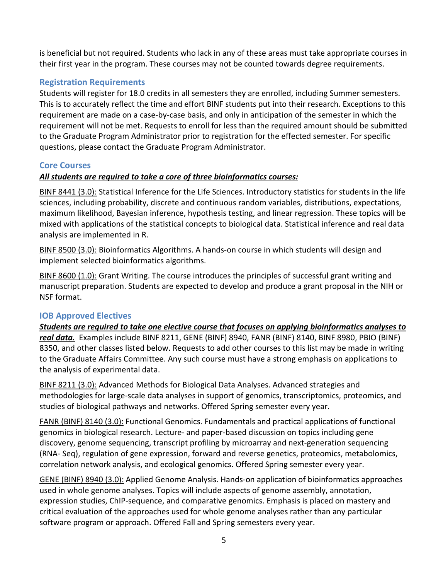is beneficial but not required. Students who lack in any of these areas must take appropriate courses in their first year in the program. These courses may not be counted towards degree requirements.

## **Registration Requirements**

Students will register for 18.0 credits in all semesters they are enrolled, including Summer semesters. This is to accurately reflect the time and effort BINF students put into their research. Exceptions to this requirement are made on a case-by-case basis, and only in anticipation of the semester in which the requirement will not be met. Requests to enroll for less than the required amount should be submitted to the Graduate Program Administrator prior to registration for the effected semester. For specific questions, please contact the Graduate Program Administrator.

## **Core Courses**

## *All students are required to take a core of three bioinformatics courses:*

BINF 8441 (3.0): Statistical Inference for the Life Sciences. Introductory statistics for students in the life sciences, including probability, discrete and continuous random variables, distributions, expectations, maximum likelihood, Bayesian inference, hypothesis testing, and linear regression. These topics will be mixed with applications of the statistical concepts to biological data. Statistical inference and real data analysis are implemented in R.

BINF 8500 (3.0): Bioinformatics Algorithms. A hands-on course in which students will design and implement selected bioinformatics algorithms.

BINF 8600 (1.0): Grant Writing. The course introduces the principles of successful grant writing and manuscript preparation. Students are expected to develop and produce a grant proposal in the NIH or NSF format.

## **IOB Approved Electives**

*Students are required to take one elective course that focuses on applying bioinformatics analyses to real data.* Examples include BINF 8211, GENE (BINF) 8940, FANR (BINF) 8140, BINF 8980, PBIO (BINF) 8350, and other classes listed below. Requests to add other courses to this list may be made in writing to the Graduate Affairs Committee. Any such course must have a strong emphasis on applications to the analysis of experimental data.

BINF 8211 (3.0): Advanced Methods for Biological Data Analyses. Advanced strategies and methodologies for large-scale data analyses in support of genomics, transcriptomics, proteomics, and studies of biological pathways and networks. Offered Spring semester every year.

FANR (BINF) 8140 (3.0): Functional Genomics. Fundamentals and practical applications of functional genomics in biological research. Lecture- and paper-based discussion on topics including gene discovery, genome sequencing, transcript profiling by microarray and next-generation sequencing (RNA- Seq), regulation of gene expression, forward and reverse genetics, proteomics, metabolomics, correlation network analysis, and ecological genomics. Offered Spring semester every year.

GENE (BINF) 8940 (3.0): Applied Genome Analysis. Hands-on application of bioinformatics approaches used in whole genome analyses. Topics will include aspects of genome assembly, annotation, expression studies, ChIP-sequence, and comparative genomics. Emphasis is placed on mastery and critical evaluation of the approaches used for whole genome analyses rather than any particular software program or approach. Offered Fall and Spring semesters every year.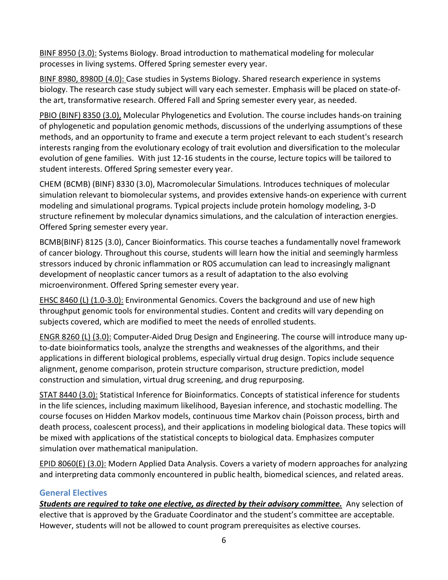BINF 8950 (3.0): Systems Biology. Broad introduction to mathematical modeling for molecular processes in living systems. Offered Spring semester every year.

BINF 8980, 8980D (4.0): Case studies in Systems Biology. Shared research experience in systems biology. The research case study subject will vary each semester. Emphasis will be placed on state-ofthe art, transformative research. Offered Fall and Spring semester every year, as needed.

PBIO (BINF) 8350 (3.0), Molecular Phylogenetics and Evolution. The course includes hands-on training of phylogenetic and population genomic methods, discussions of the underlying assumptions of these methods, and an opportunity to frame and execute a term project relevant to each student's research interests ranging from the evolutionary ecology of trait evolution and diversification to the molecular evolution of gene families. With just 12-16 students in the course, lecture topics will be tailored to student interests. Offered Spring semester every year.

CHEM (BCMB) (BINF) 8330 (3.0), Macromolecular Simulations. Introduces techniques of molecular simulation relevant to biomolecular systems, and provides extensive hands-on experience with current modeling and simulational programs. Typical projects include protein homology modeling, 3-D structure refinement by molecular dynamics simulations, and the calculation of interaction energies. Offered Spring semester every year.

BCMB(BINF) 8125 (3.0), Cancer Bioinformatics. This course teaches a fundamentally novel framework of cancer biology. Throughout this course, students will learn how the initial and seemingly harmless stressors induced by chronic inflammation or ROS accumulation can lead to increasingly malignant development of neoplastic cancer tumors as a result of adaptation to the also evolving microenvironment. Offered Spring semester every year.

EHSC 8460 (L) (1.0-3.0): Environmental Genomics. Covers the background and use of new high throughput genomic tools for environmental studies. Content and credits will vary depending on subjects covered, which are modified to meet the needs of enrolled students.

ENGR 8260 (L) (3.0): Computer-Aided Drug Design and Engineering. The course will introduce many upto-date bioinformatics tools, analyze the strengths and weaknesses of the algorithms, and their applications in different biological problems, especially virtual drug design. Topics include sequence alignment, genome comparison, protein structure comparison, structure prediction, model construction and simulation, virtual drug screening, and drug repurposing.

STAT 8440 (3.0): Statistical Inference for Bioinformatics. Concepts of statistical inference for students in the life sciences, including maximum likelihood, Bayesian inference, and stochastic modelling. The course focuses on Hidden Markov models, continuous time Markov chain (Poisson process, birth and death process, coalescent process), and their applications in modeling biological data. These topics will be mixed with applications of the statistical concepts to biological data. Emphasizes computer simulation over mathematical manipulation.

EPID 8060(E) (3.0): Modern Applied Data Analysis. Covers a variety of modern approaches for analyzing and interpreting data commonly encountered in public health, biomedical sciences, and related areas.

## **General Electives**

*Students are required to take one elective, as directed by their advisory committee.* Any selection of elective that is approved by the Graduate Coordinator and the student's committee are acceptable. However, students will not be allowed to count program prerequisites as elective courses.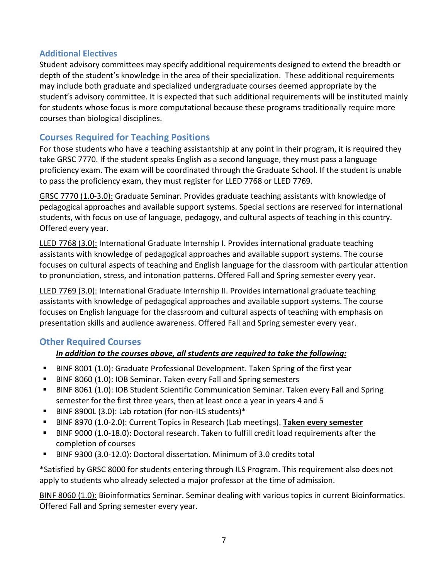#### **Additional Electives**

Student advisory committees may specify additional requirements designed to extend the breadth or depth of the student's knowledge in the area of their specialization. These additional requirements may include both graduate and specialized undergraduate courses deemed appropriate by the student's advisory committee. It is expected that such additional requirements will be instituted mainly for students whose focus is more computational because these programs traditionally require more courses than biological disciplines.

## **Courses Required for Teaching Positions**

For those students who have a teaching assistantship at any point in their program, it is required they take GRSC 7770. If the student speaks English as a second language, they must pass a language proficiency exam. The exam will be coordinated through the Graduate School. If the student is unable to pass the proficiency exam, they must register for LLED 7768 or LLED 7769.

GRSC 7770 (1.0-3.0): Graduate Seminar. Provides graduate teaching assistants with knowledge of pedagogical approaches and available support systems. Special sections are reserved for international students, with focus on use of language, pedagogy, and cultural aspects of teaching in this country. Offered every year.

LLED 7768 (3.0): International Graduate Internship I. Provides international graduate teaching assistants with knowledge of pedagogical approaches and available support systems. The course focuses on cultural aspects of teaching and English language for the classroom with particular attention to pronunciation, stress, and intonation patterns. Offered Fall and Spring semester every year.

LLED 7769 (3.0): International Graduate Internship II. Provides international graduate teaching assistants with knowledge of pedagogical approaches and available support systems. The course focuses on English language for the classroom and cultural aspects of teaching with emphasis on presentation skills and audience awareness. Offered Fall and Spring semester every year.

## **Other Required Courses**

## *In addition to the courses above, all students are required to take the following:*

- BINF 8001 (1.0): Graduate Professional Development. Taken Spring of the first year
- BINF 8060 (1.0): IOB Seminar. Taken every Fall and Spring semesters
- **BINF 8061 (1.0): IOB Student Scientific Communication Seminar. Taken every Fall and Spring** semester for the first three years, then at least once a year in years 4 and 5
- BINF 8900L (3.0): Lab rotation (for non-ILS students)\*
- BINF 8970 (1.0-2.0): Current Topics in Research (Lab meetings). **Taken every semester**
- BINF 9000 (1.0-18.0): Doctoral research. Taken to fulfill credit load requirements after the completion of courses
- BINF 9300 (3.0-12.0): Doctoral dissertation. Minimum of 3.0 credits total

\*Satisfied by GRSC 8000 for students entering through ILS Program. This requirement also does not apply to students who already selected a major professor at the time of admission.

BINF 8060 (1.0): Bioinformatics Seminar. Seminar dealing with various topics in current Bioinformatics. Offered Fall and Spring semester every year.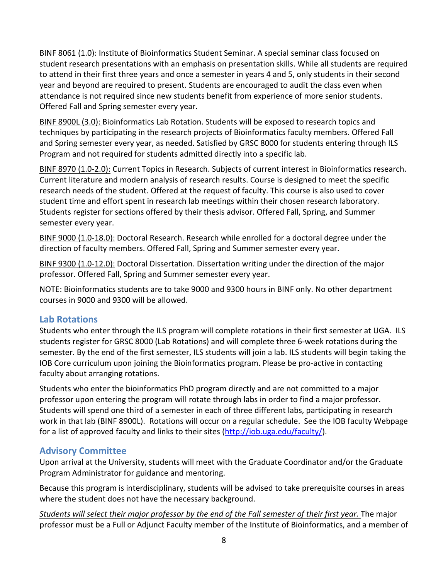BINF 8061 (1.0): Institute of Bioinformatics Student Seminar. A special seminar class focused on student research presentations with an emphasis on presentation skills. While all students are required to attend in their first three years and once a semester in years 4 and 5, only students in their second year and beyond are required to present. Students are encouraged to audit the class even when attendance is not required since new students benefit from experience of more senior students. Offered Fall and Spring semester every year.

BINF 8900L (3.0): Bioinformatics Lab Rotation. Students will be exposed to research topics and techniques by participating in the research projects of Bioinformatics faculty members. Offered Fall and Spring semester every year, as needed. Satisfied by GRSC 8000 for students entering through ILS Program and not required for students admitted directly into a specific lab.

BINF 8970 (1.0-2.0): Current Topics in Research. Subjects of current interest in Bioinformatics research. Current literature and modern analysis of research results. Course is designed to meet the specific research needs of the student. Offered at the request of faculty. This course is also used to cover student time and effort spent in research lab meetings within their chosen research laboratory. Students register for sections offered by their thesis advisor. Offered Fall, Spring, and Summer semester every year.

BINF 9000 (1.0-18.0): Doctoral Research. Research while enrolled for a doctoral degree under the direction of faculty members. Offered Fall, Spring and Summer semester every year.

BINF 9300 (1.0-12.0): Doctoral Dissertation. Dissertation writing under the direction of the major professor. Offered Fall, Spring and Summer semester every year.

NOTE: Bioinformatics students are to take 9000 and 9300 hours in BINF only. No other department courses in 9000 and 9300 will be allowed.

## **Lab Rotations**

Students who enter through the ILS program will complete rotations in their first semester at UGA. ILS students register for GRSC 8000 (Lab Rotations) and will complete three 6-week rotations during the semester. By the end of the first semester, ILS students will join a lab. ILS students will begin taking the IOB Core curriculum upon joining the Bioinformatics program. Please be pro-active in contacting faculty about arranging rotations.

Students who enter the bioinformatics PhD program directly and are not committed to a major professor upon entering the program will rotate through labs in order to find a major professor. Students will spend one third of a semester in each of three different labs, participating in research work in that lab (BINF 8900L). Rotations will occur on a regular schedule. See the IOB faculty Webpage for a list of approved faculty and links to their sites [\(http://iob.uga.edu/faculty/\)](http://iob.uga.edu/faculty/).

## **Advisory Committee**

Upon arrival at the University, students will meet with the Graduate Coordinator and/or the Graduate Program Administrator for guidance and mentoring.

Because this program is interdisciplinary, students will be advised to take prerequisite courses in areas where the student does not have the necessary background.

*Students will select their major professor by the end of the Fall semester of their first year.* The major professor must be a Full or Adjunct Faculty member of the Institute of Bioinformatics, and a member of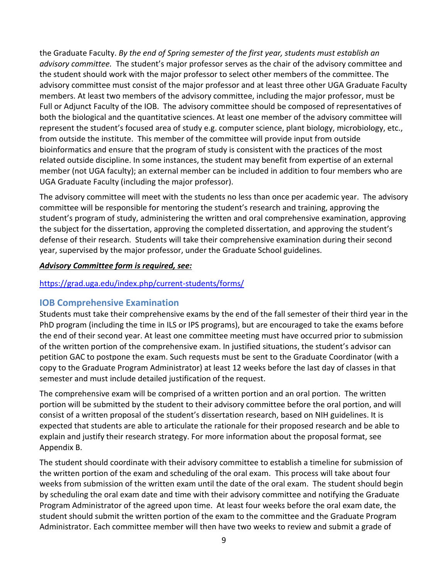the Graduate Faculty. *By the end of Spring semester of the first year, students must establish an advisory committee.* The student's major professor serves as the chair of the advisory committee and the student should work with the major professor to select other members of the committee. The advisory committee must consist of the major professor and at least three other UGA Graduate Faculty members. At least two members of the advisory committee, including the major professor, must be Full or Adjunct Faculty of the IOB. The advisory committee should be composed of representatives of both the biological and the quantitative sciences. At least one member of the advisory committee will represent the student's focused area of study e.g. computer science, plant biology, microbiology, etc., from outside the institute. This member of the committee will provide input from outside bioinformatics and ensure that the program of study is consistent with the practices of the most related outside discipline. In some instances, the student may benefit from expertise of an external member (not UGA faculty); an external member can be included in addition to four members who are UGA Graduate Faculty (including the major professor).

The advisory committee will meet with the students no less than once per academic year. The advisory committee will be responsible for mentoring the student's research and training, approving the student's program of study, administering the written and oral comprehensive examination, approving the subject for the dissertation, approving the completed dissertation, and approving the student's defense of their research. Students will take their comprehensive examination during their second year, supervised by the major professor, under the Graduate School guidelines.

#### *Advisory Committee form is required, see:*

#### <https://grad.uga.edu/index.php/current-students/forms/>

#### **IOB Comprehensive Examination**

Students must take their comprehensive exams by the end of the fall semester of their third year in the PhD program (including the time in ILS or IPS programs), but are encouraged to take the exams before the end of their second year. At least one committee meeting must have occurred prior to submission of the written portion of the comprehensive exam. In justified situations, the student's advisor can petition GAC to postpone the exam. Such requests must be sent to the Graduate Coordinator (with a copy to the Graduate Program Administrator) at least 12 weeks before the last day of classes in that semester and must include detailed justification of the request.

The comprehensive exam will be comprised of a written portion and an oral portion. The written portion will be submitted by the student to their advisory committee before the oral portion, and will consist of a written proposal of the student's dissertation research, based on NIH guidelines. It is expected that students are able to articulate the rationale for their proposed research and be able to explain and justify their research strategy. For more information about the proposal format, see Appendix B.

The student should coordinate with their advisory committee to establish a timeline for submission of the written portion of the exam and scheduling of the oral exam. This process will take about four weeks from submission of the written exam until the date of the oral exam. The student should begin by scheduling the oral exam date and time with their advisory committee and notifying the Graduate Program Administrator of the agreed upon time. At least four weeks before the oral exam date, the student should submit the written portion of the exam to the committee and the Graduate Program Administrator. Each committee member will then have two weeks to review and submit a grade of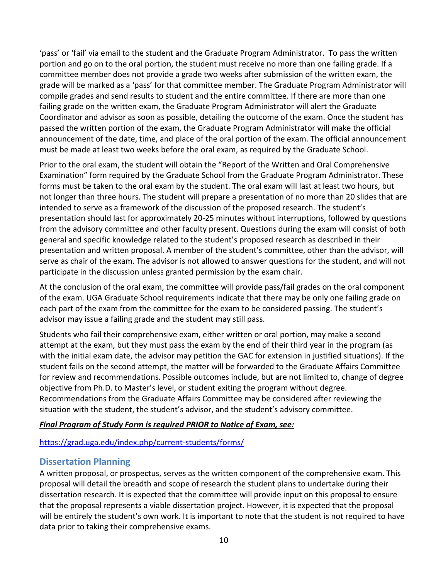'pass' or 'fail' via email to the student and the Graduate Program Administrator. To pass the written portion and go on to the oral portion, the student must receive no more than one failing grade. If a committee member does not provide a grade two weeks after submission of the written exam, the grade will be marked as a 'pass' for that committee member. The Graduate Program Administrator will compile grades and send results to student and the entire committee. If there are more than one failing grade on the written exam, the Graduate Program Administrator will alert the Graduate Coordinator and advisor as soon as possible, detailing the outcome of the exam. Once the student has passed the written portion of the exam, the Graduate Program Administrator will make the official announcement of the date, time, and place of the oral portion of the exam. The official announcement must be made at least two weeks before the oral exam, as required by the Graduate School.

Prior to the oral exam, the student will obtain the "Report of the Written and Oral Comprehensive Examination" form required by the Graduate School from the Graduate Program Administrator. These forms must be taken to the oral exam by the student. The oral exam will last at least two hours, but not longer than three hours. The student will prepare a presentation of no more than 20 slides that are intended to serve as a framework of the discussion of the proposed research. The student's presentation should last for approximately 20-25 minutes without interruptions, followed by questions from the advisory committee and other faculty present. Questions during the exam will consist of both general and specific knowledge related to the student's proposed research as described in their presentation and written proposal. A member of the student's committee, other than the advisor, will serve as chair of the exam. The advisor is not allowed to answer questions for the student, and will not participate in the discussion unless granted permission by the exam chair.

At the conclusion of the oral exam, the committee will provide pass/fail grades on the oral component of the exam. UGA Graduate School requirements indicate that there may be only one failing grade on each part of the exam from the committee for the exam to be considered passing. The student's advisor may issue a failing grade and the student may still pass.

Students who fail their comprehensive exam, either written or oral portion, may make a second attempt at the exam, but they must pass the exam by the end of their third year in the program (as with the initial exam date, the advisor may petition the GAC for extension in justified situations). If the student fails on the second attempt, the matter will be forwarded to the Graduate Affairs Committee for review and recommendations. Possible outcomes include, but are not limited to, change of degree objective from Ph.D. to Master's level, or student exiting the program without degree. Recommendations from the Graduate Affairs Committee may be considered after reviewing the situation with the student, the student's advisor, and the student's advisory committee.

#### *Final Program of Study Form is required PRIOR to Notice of Exam, see:*

#### <https://grad.uga.edu/index.php/current-students/forms/>

#### **Dissertation Planning**

A written proposal, or prospectus, serves as the written component of the comprehensive exam. This proposal will detail the breadth and scope of research the student plans to undertake during their dissertation research. It is expected that the committee will provide input on this proposal to ensure that the proposal represents a viable dissertation project. However, it is expected that the proposal will be entirely the student's own work. It is important to note that the student is not required to have data prior to taking their comprehensive exams.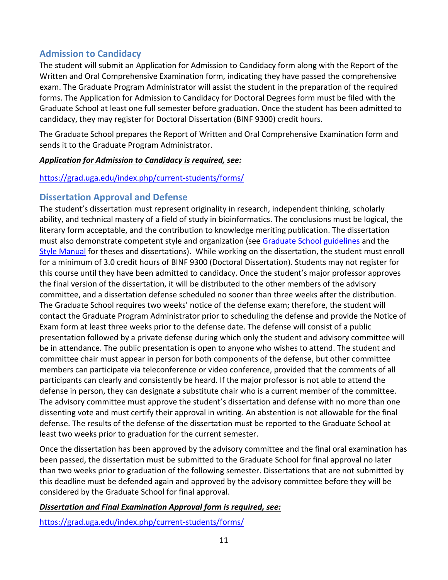## **Admission to Candidacy**

The student will submit an Application for Admission to Candidacy form along with the Report of the Written and Oral Comprehensive Examination form, indicating they have passed the comprehensive exam. The Graduate Program Administrator will assist the student in the preparation of the required forms. The Application for Admission to Candidacy for Doctoral Degrees form must be filed with the Graduate School at least one full semester before graduation. Once the student has been admitted to candidacy, they may register for Doctoral Dissertation (BINF 9300) credit hours.

The Graduate School prepares the Report of Written and Oral Comprehensive Examination form and sends it to the Graduate Program Administrator.

#### *Application for Admission to Candidacy is required, see:*

#### <https://grad.uga.edu/index.php/current-students/forms/>

## **Dissertation Approval and Defense**

The student's dissertation must represent originality in research, independent thinking, scholarly ability, and technical mastery of a field of study in bioinformatics. The conclusions must be logical, the literary form acceptable, and the contribution to knowledge meriting publication. The dissertation must also demonstrate competent style and organization (see [Graduate School guidelines](http://grad.uga.edu/index.php/current-students/policies-procedures/theses-dissertations-guidelines/theses-and-dissertations-overview/) and the [Style Manual](https://grad.uga.edu/wp-content/uploads/2021/05/theses_and_dissertations-STYLE-GUIDE_.pdf) for theses and dissertations). While working on the dissertation, the student must enroll for a minimum of 3.0 credit hours of BINF 9300 (Doctoral Dissertation). Students may not register for this course until they have been admitted to candidacy. Once the student's major professor approves the final version of the dissertation, it will be distributed to the other members of the advisory committee, and a dissertation defense scheduled no sooner than three weeks after the distribution. The Graduate School requires two weeks' notice of the defense exam; therefore, the student will contact the Graduate Program Administrator prior to scheduling the defense and provide the Notice of Exam form at least three weeks prior to the defense date. The defense will consist of a public presentation followed by a private defense during which only the student and advisory committee will be in attendance. The public presentation is open to anyone who wishes to attend. The student and committee chair must appear in person for both components of the defense, but other committee members can participate via teleconference or video conference, provided that the comments of all participants can clearly and consistently be heard. If the major professor is not able to attend the defense in person, they can designate a substitute chair who is a current member of the committee. The advisory committee must approve the student's dissertation and defense with no more than one dissenting vote and must certify their approval in writing. An abstention is not allowable for the final defense. The results of the defense of the dissertation must be reported to the Graduate School at least two weeks prior to graduation for the current semester.

Once the dissertation has been approved by the advisory committee and the final oral examination has been passed, the dissertation must be submitted to the Graduate School for final approval no later than two weeks prior to graduation of the following semester. Dissertations that are not submitted by this deadline must be defended again and approved by the advisory committee before they will be considered by the Graduate School for final approval.

#### *Dissertation and Final Examination Approval form is required, see:*

<https://grad.uga.edu/index.php/current-students/forms/>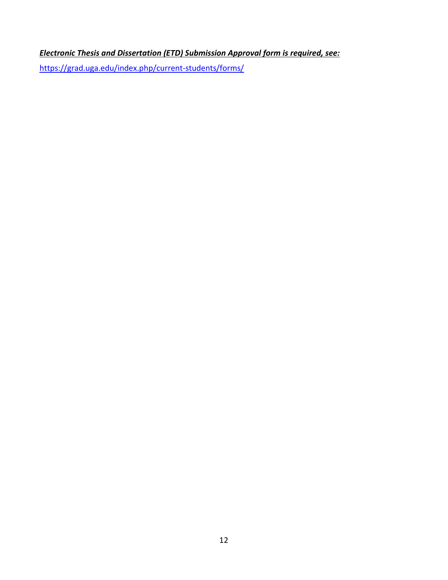*Electronic Thesis and Dissertation (ETD) Submission Approval form is required, see:*

<https://grad.uga.edu/index.php/current-students/forms/>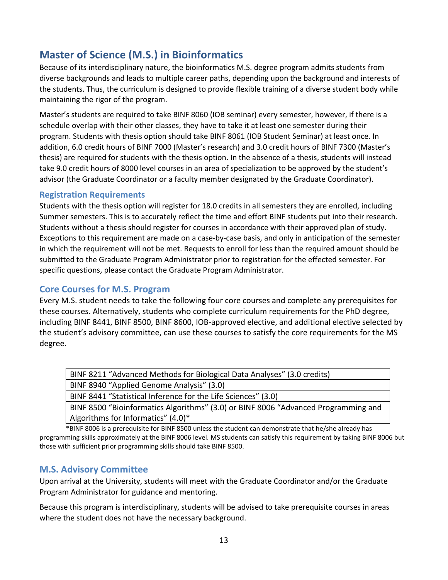## **Master of Science (M.S.) in Bioinformatics**

Because of its interdisciplinary nature, the bioinformatics M.S. degree program admits students from diverse backgrounds and leads to multiple career paths, depending upon the background and interests of the students. Thus, the curriculum is designed to provide flexible training of a diverse student body while maintaining the rigor of the program.

Master's students are required to take BINF 8060 (IOB seminar) every semester, however, if there is a schedule overlap with their other classes, they have to take it at least one semester during their program. Students with thesis option should take BINF 8061 (IOB Student Seminar) at least once. In addition, 6.0 credit hours of BINF 7000 (Master's research) and 3.0 credit hours of BINF 7300 (Master's thesis) are required for students with the thesis option. In the absence of a thesis, students will instead take 9.0 credit hours of 8000 level courses in an area of specialization to be approved by the student's advisor (the Graduate Coordinator or a faculty member designated by the Graduate Coordinator).

#### **Registration Requirements**

Students with the thesis option will register for 18.0 credits in all semesters they are enrolled, including Summer semesters. This is to accurately reflect the time and effort BINF students put into their research. Students without a thesis should register for courses in accordance with their approved plan of study. Exceptions to this requirement are made on a case-by-case basis, and only in anticipation of the semester in which the requirement will not be met. Requests to enroll for less than the required amount should be submitted to the Graduate Program Administrator prior to registration for the effected semester. For specific questions, please contact the Graduate Program Administrator.

### **Core Courses for M.S. Program**

Every M.S. student needs to take the following four core courses and complete any prerequisites for these courses. Alternatively, students who complete curriculum requirements for the PhD degree, including BINF 8441, BINF 8500, BINF 8600, IOB-approved elective, and additional elective selected by the student's advisory committee, can use these courses to satisfy the core requirements for the MS degree.

| BINF 8211 "Advanced Methods for Biological Data Analyses" (3.0 credits)            |
|------------------------------------------------------------------------------------|
| BINF 8940 "Applied Genome Analysis" (3.0)                                          |
| BINF 8441 "Statistical Inference for the Life Sciences" (3.0)                      |
| BINF 8500 "Bioinformatics Algorithms" (3.0) or BINF 8006 "Advanced Programming and |
| Algorithms for Informatics" $(4.0)$ <sup>*</sup>                                   |

\*BINF 8006 is a prerequisite for BINF 8500 unless the student can demonstrate that he/she already has programming skills approximately at the BINF 8006 level. MS students can satisfy this requirement by taking BINF 8006 but those with sufficient prior programming skills should take BINF 8500.

## **M.S. Advisory Committee**

Upon arrival at the University, students will meet with the Graduate Coordinator and/or the Graduate Program Administrator for guidance and mentoring.

Because this program is interdisciplinary, students will be advised to take prerequisite courses in areas where the student does not have the necessary background.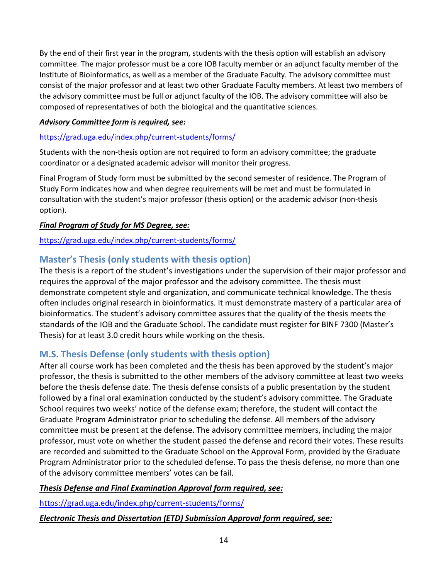By the end of their first year in the program, students with the thesis option will establish an advisory committee. The major professor must be a core IOB faculty member or an adjunct faculty member of the Institute of Bioinformatics, as well as a member of the Graduate Faculty. The advisory committee must consist of the major professor and at least two other Graduate Faculty members. At least two members of the advisory committee must be full or adjunct faculty of the IOB. The advisory committee will also be composed of representatives of both the biological and the quantitative sciences.

#### *Advisory Committee form is required, see:*

#### <https://grad.uga.edu/index.php/current-students/forms/>

Students with the non-thesis option are not required to form an advisory committee; the graduate coordinator or a designated academic advisor will monitor their progress.

Final Program of Study form must be submitted by the second semester of residence. The Program of Study Form indicates how and when degree requirements will be met and must be formulated in consultation with the student's major professor (thesis option) or the academic advisor (non-thesis option).

#### *Final Program of Study for MS Degree, see:*

<https://grad.uga.edu/index.php/current-students/forms/>

## **Master's Thesis (only students with thesis option)**

The thesis is a report of the student's investigations under the supervision of their major professor and requires the approval of the major professor and the advisory committee. The thesis must demonstrate competent style and organization, and communicate technical knowledge. The thesis often includes original research in bioinformatics. It must demonstrate mastery of a particular area of bioinformatics. The student's advisory committee assures that the quality of the thesis meets the standards of the IOB and the Graduate School. The candidate must register for BINF 7300 (Master's Thesis) for at least 3.0 credit hours while working on the thesis.

## **M.S. Thesis Defense (only students with thesis option)**

After all course work has been completed and the thesis has been approved by the student's major professor, the thesis is submitted to the other members of the advisory committee at least two weeks before the thesis defense date. The thesis defense consists of a public presentation by the student followed by a final oral examination conducted by the student's advisory committee. The Graduate School requires two weeks' notice of the defense exam; therefore, the student will contact the Graduate Program Administrator prior to scheduling the defense. All members of the advisory committee must be present at the defense. The advisory committee members, including the major professor, must vote on whether the student passed the defense and record their votes. These results are recorded and submitted to the Graduate School on the Approval Form, provided by the Graduate Program Administrator prior to the scheduled defense. To pass the thesis defense, no more than one of the advisory committee members' votes can be fail.

#### *Thesis Defense and Final Examination Approval form required, see:*

<https://grad.uga.edu/index.php/current-students/forms/>

#### *Electronic Thesis and Dissertation (ETD) Submission Approval form required, see:*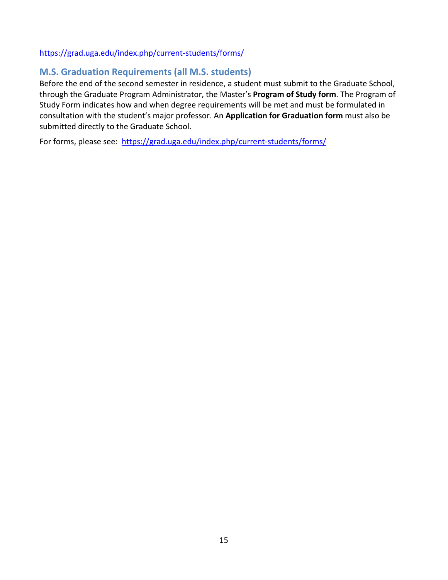#### <https://grad.uga.edu/index.php/current-students/forms/>

## **M.S. Graduation Requirements (all M.S. students)**

Before the end of the second semester in residence, a student must submit to the Graduate School, through the Graduate Program Administrator, the Master's **Program of Study form**. The Program of Study Form indicates how and when degree requirements will be met and must be formulated in consultation with the student's major professor. An **Application for Graduation form** must also be submitted directly to the Graduate School.

For forms, please see: <https://grad.uga.edu/index.php/current-students/forms/>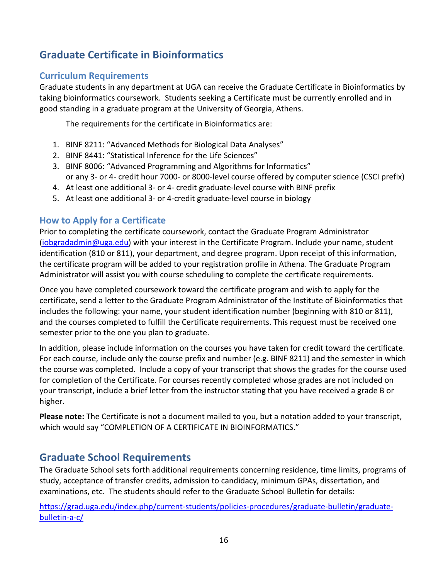## **Graduate Certificate in Bioinformatics**

## **Curriculum Requirements**

Graduate students in any department at UGA can receive the Graduate Certificate in Bioinformatics by taking bioinformatics coursework. Students seeking a Certificate must be currently enrolled and in good standing in a graduate program at the University of Georgia, Athens.

The requirements for the certificate in Bioinformatics are:

- 1. BINF 8211: "Advanced Methods for Biological Data Analyses"
- 2. BINF 8441: "Statistical Inference for the Life Sciences"
- 3. BINF 8006: "Advanced Programming and Algorithms for Informatics" or any 3- or 4- credit hour 7000- or 8000-level course offered by computer science (CSCI prefix)
- 4. At least one additional 3- or 4- credit graduate-level course with BINF prefix
- 5. At least one additional 3- or 4-credit graduate-level course in biology

## **How to Apply for a Certificate**

Prior to completing the certificate coursework, contact the Graduate Program Administrator [\(iobgradadmin@uga.edu\)](mailto:iobgradadmin@uga.edu) with your interest in the Certificate Program. Include your name, student identification (810 or 811), your department, and degree program. Upon receipt of this information, the certificate program will be added to your registration profile in Athena. The Graduate Program Administrator will assist you with course scheduling to complete the certificate requirements.

Once you have completed coursework toward the certificate program and wish to apply for the certificate, send a letter to the Graduate Program Administrator of the Institute of Bioinformatics that includes the following: your name, your student identification number (beginning with 810 or 811), and the courses completed to fulfill the Certificate requirements. This request must be received one semester prior to the one you plan to graduate.

In addition, please include information on the courses you have taken for credit toward the certificate. For each course, include only the course prefix and number (e.g. BINF 8211) and the semester in which the course was completed. Include a copy of your transcript that shows the grades for the course used for completion of the Certificate. For courses recently completed whose grades are not included on your transcript, include a brief letter from the instructor stating that you have received a grade B or higher.

**Please note:** The Certificate is not a document mailed to you, but a notation added to your transcript, which would say "COMPLETION OF A CERTIFICATE IN BIOINFORMATICS."

## **Graduate School Requirements**

The Graduate School sets forth additional requirements concerning residence, time limits, programs of study, acceptance of transfer credits, admission to candidacy, minimum GPAs, dissertation, and examinations, etc. The students should refer to the Graduate School Bulletin for details:

[https://grad.uga.edu/index.php/current-students/policies-procedures/graduate-bulletin/graduate](https://grad.uga.edu/index.php/current-students/policies-procedures/graduate-bulletin/graduate-bulletin-a-c/)[bulletin-a-c/](https://grad.uga.edu/index.php/current-students/policies-procedures/graduate-bulletin/graduate-bulletin-a-c/)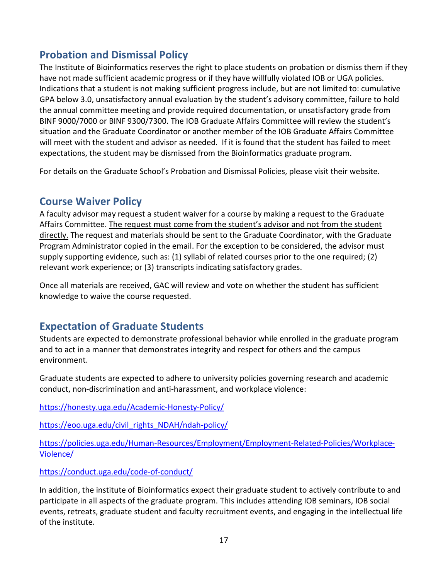## **Probation and Dismissal Policy**

The Institute of Bioinformatics reserves the right to place students on probation or dismiss them if they have not made sufficient academic progress or if they have willfully violated IOB or UGA policies. Indications that a student is not making sufficient progress include, but are not limited to: cumulative GPA below 3.0, unsatisfactory annual evaluation by the student's advisory committee, failure to hold the annual committee meeting and provide required documentation, or unsatisfactory grade from BINF 9000/7000 or BINF 9300/7300. The IOB Graduate Affairs Committee will review the student's situation and the Graduate Coordinator or another member of the IOB Graduate Affairs Committee will meet with the student and advisor as needed. If it is found that the student has failed to meet expectations, the student may be dismissed from the Bioinformatics graduate program.

For details on the Graduate School's Probation and Dismissal Policies, please visit their website.

## **Course Waiver Policy**

A faculty advisor may request a student waiver for a course by making a request to the Graduate Affairs Committee. The request must come from the student's advisor and not from the student directly. The request and materials should be sent to the Graduate Coordinator, with the Graduate Program Administrator copied in the email. For the exception to be considered, the advisor must supply supporting evidence, such as: (1) syllabi of related courses prior to the one required; (2) relevant work experience; or (3) transcripts indicating satisfactory grades.

Once all materials are received, GAC will review and vote on whether the student has sufficient knowledge to waive the course requested.

## **Expectation of Graduate Students**

Students are expected to demonstrate professional behavior while enrolled in the graduate program and to act in a manner that demonstrates integrity and respect for others and the campus environment.

Graduate students are expected to adhere to university policies governing research and academic conduct, non-discrimination and anti-harassment, and workplace violence:

<https://honesty.uga.edu/Academic-Honesty-Policy/>

[https://eoo.uga.edu/civil\\_rights\\_NDAH/ndah-policy/](https://eoo.uga.edu/civil_rights_NDAH/ndah-policy/)

[https://policies.uga.edu/Human-Resources/Employment/Employment-Related-Policies/Workplace-](https://policies.uga.edu/Human-Resources/Employment/Employment-Related-Policies/Workplace-Violence/)[Violence/](https://policies.uga.edu/Human-Resources/Employment/Employment-Related-Policies/Workplace-Violence/)

<https://conduct.uga.edu/code-of-conduct/>

In addition, the institute of Bioinformatics expect their graduate student to actively contribute to and participate in all aspects of the graduate program. This includes attending IOB seminars, IOB social events, retreats, graduate student and faculty recruitment events, and engaging in the intellectual life of the institute.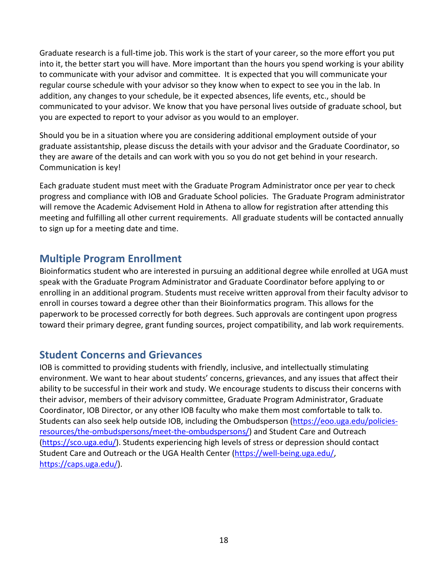Graduate research is a full-time job. This work is the start of your career, so the more effort you put into it, the better start you will have. More important than the hours you spend working is your ability to communicate with your advisor and committee. It is expected that you will communicate your regular course schedule with your advisor so they know when to expect to see you in the lab. In addition, any changes to your schedule, be it expected absences, life events, etc., should be communicated to your advisor. We know that you have personal lives outside of graduate school, but you are expected to report to your advisor as you would to an employer.

Should you be in a situation where you are considering additional employment outside of your graduate assistantship, please discuss the details with your advisor and the Graduate Coordinator, so they are aware of the details and can work with you so you do not get behind in your research. Communication is key!

Each graduate student must meet with the Graduate Program Administrator once per year to check progress and compliance with IOB and Graduate School policies. The Graduate Program administrator will remove the Academic Advisement Hold in Athena to allow for registration after attending this meeting and fulfilling all other current requirements. All graduate students will be contacted annually to sign up for a meeting date and time.

## **Multiple Program Enrollment**

Bioinformatics student who are interested in pursuing an additional degree while enrolled at UGA must speak with the Graduate Program Administrator and Graduate Coordinator before applying to or enrolling in an additional program. Students must receive written approval from their faculty advisor to enroll in courses toward a degree other than their Bioinformatics program. This allows for the paperwork to be processed correctly for both degrees. Such approvals are contingent upon progress toward their primary degree, grant funding sources, project compatibility, and lab work requirements.

## **Student Concerns and Grievances**

IOB is committed to providing students with friendly, inclusive, and intellectually stimulating environment. We want to hear about students' concerns, grievances, and any issues that affect their ability to be successful in their work and study. We encourage students to discuss their concerns with their advisor, members of their advisory committee, Graduate Program Administrator, Graduate Coordinator, IOB Director, or any other IOB faculty who make them most comfortable to talk to. Students can also seek help outside IOB, including the Ombudsperson [\(https://eoo.uga.edu/policies](https://eoo.uga.edu/policies-resources/the-ombudspersons/meet-the-ombudspersons/)[resources/the-ombudspersons/meet-the-ombudspersons/\)](https://eoo.uga.edu/policies-resources/the-ombudspersons/meet-the-ombudspersons/) and Student Care and Outreach [\(https://sco.uga.edu/\)](https://sco.uga.edu/). Students experiencing high levels of stress or depression should contact Student Care and Outreach or the UGA Health Center [\(https://well-being.uga.edu/,](https://well-being.uga.edu/) [https://caps.uga.edu/\)](https://caps.uga.edu/).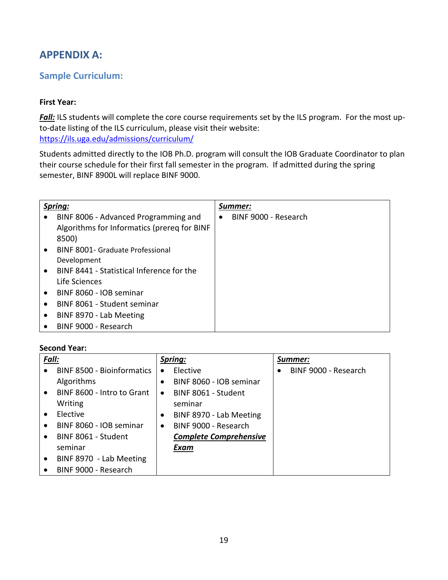## **APPENDIX A:**

## **Sample Curriculum:**

#### **First Year:**

**Fall:** ILS students will complete the core course requirements set by the ILS program. For the most upto-date listing of the ILS curriculum, please visit their website: <https://ils.uga.edu/admissions/curriculum/>

Students admitted directly to the IOB Ph.D. program will consult the IOB Graduate Coordinator to plan their course schedule for their first fall semester in the program. If admitted during the spring semester, BINF 8900L will replace BINF 9000.

|           | Spring:                                     | Summer:              |
|-----------|---------------------------------------------|----------------------|
|           | BINF 8006 - Advanced Programming and        | BINF 9000 - Research |
|           | Algorithms for Informatics (prereq for BINF |                      |
|           | 8500)                                       |                      |
| $\bullet$ | <b>BINF 8001- Graduate Professional</b>     |                      |
|           | Development                                 |                      |
| $\bullet$ | BINF 8441 - Statistical Inference for the   |                      |
|           | Life Sciences                               |                      |
| $\bullet$ | BINF 8060 - IOB seminar                     |                      |
| $\bullet$ | BINF 8061 - Student seminar                 |                      |
| $\bullet$ | BINF 8970 - Lab Meeting                     |                      |
| ٠         | BINF 9000 - Research                        |                      |

#### **Second Year:**

| Fall:     |                                   | Spring:   |                               | Summer: |                      |
|-----------|-----------------------------------|-----------|-------------------------------|---------|----------------------|
| $\bullet$ | <b>BINF 8500 - Bioinformatics</b> | $\bullet$ | Elective                      |         | BINF 9000 - Research |
|           | Algorithms                        |           | BINF 8060 - IOB seminar       |         |                      |
| $\bullet$ | BINF 8600 - Intro to Grant        | $\bullet$ | BINF 8061 - Student           |         |                      |
|           | Writing                           |           | seminar                       |         |                      |
|           | Elective                          | $\bullet$ | BINF 8970 - Lab Meeting       |         |                      |
| $\bullet$ | BINF 8060 - IOB seminar           | $\bullet$ | BINF 9000 - Research          |         |                      |
| $\bullet$ | BINF 8061 - Student               |           | <b>Complete Comprehensive</b> |         |                      |
|           | seminar                           |           | Exam                          |         |                      |
| $\bullet$ | BINF 8970 - Lab Meeting           |           |                               |         |                      |
|           | BINF 9000 - Research              |           |                               |         |                      |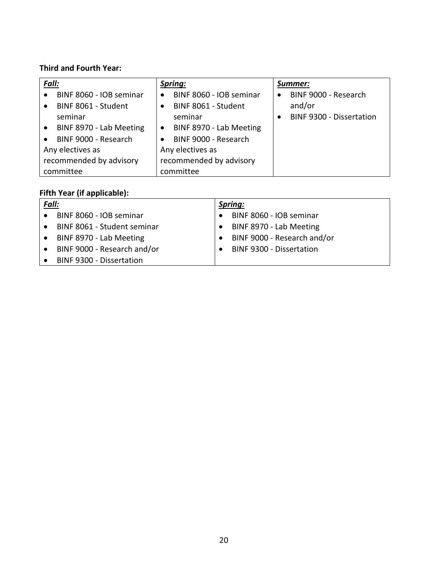## **Third and Fourth Year:**

| Fall:            |                         | Spring:          |                         | Summer:   |                                 |  |
|------------------|-------------------------|------------------|-------------------------|-----------|---------------------------------|--|
| $\bullet$        | BINF 8060 - IOB seminar |                  | BINF 8060 - IOB seminar | $\bullet$ | BINF 9000 - Research            |  |
| $\bullet$        | BINF 8061 - Student     |                  | BINF 8061 - Student     |           | and/or                          |  |
|                  | seminar                 |                  | seminar                 | ٠         | <b>BINF 9300 - Dissertation</b> |  |
| $\bullet$        | BINF 8970 - Lab Meeting | $\bullet$        | BINF 8970 - Lab Meeting |           |                                 |  |
| $\bullet$        | BINF 9000 - Research    |                  | BINF 9000 - Research    |           |                                 |  |
| Any electives as |                         | Any electives as |                         |           |                                 |  |
|                  | recommended by advisory |                  | recommended by advisory |           |                                 |  |
|                  | committee               |                  | committee               |           |                                 |  |

## **Fifth Year (if applicable):**

| Fall:     |                                 | Spring: |                                 |  |  |
|-----------|---------------------------------|---------|---------------------------------|--|--|
| $\bullet$ | BINF 8060 - IOB seminar         |         | BINF 8060 - IOB seminar         |  |  |
| $\bullet$ | BINF 8061 - Student seminar     |         | BINF 8970 - Lab Meeting         |  |  |
| $\bullet$ | BINF 8970 - Lab Meeting         |         | BINF 9000 - Research and/or     |  |  |
| $\bullet$ | BINF 9000 - Research and/or     |         | <b>BINF 9300 - Dissertation</b> |  |  |
|           | <b>BINF 9300 - Dissertation</b> |         |                                 |  |  |
|           |                                 |         |                                 |  |  |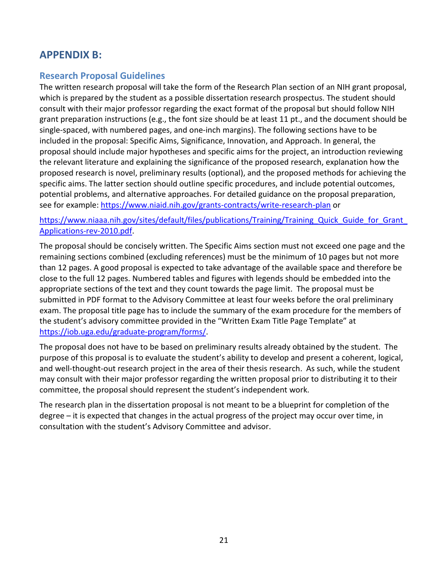## **APPENDIX B:**

### **Research Proposal Guidelines**

The written research proposal will take the form of the Research Plan section of an NIH grant proposal, which is prepared by the student as a possible dissertation research prospectus. The student should consult with their major professor regarding the exact format of the proposal but should follow NIH grant preparation instructions (e.g., the font size should be at least 11 pt., and the document should be single-spaced, with numbered pages, and one-inch margins). The following sections have to be included in the proposal: Specific Aims, Significance, Innovation, and Approach. In general, the proposal should include major hypotheses and specific aims for the project, an introduction reviewing the relevant literature and explaining the significance of the proposed research, explanation how the proposed research is novel, preliminary results (optional), and the proposed methods for achieving the specific aims. The latter section should outline specific procedures, and include potential outcomes, potential problems, and alternative approaches. For detailed guidance on the proposal preparation, see for example[: https://www.niaid.nih.gov/grants-contracts/write-research-plan](https://www.niaid.nih.gov/grants-contracts/write-research-plan) or

#### https://www.niaaa.nih.gov/sites/default/files/publications/Training/Training Quick Guide for Grant [Applications-rev-2010.pdf.](https://www.niaaa.nih.gov/sites/default/files/publications/Training/Training_Quick_Guide_for_Grant_Applications-rev-2010.pdf)

The proposal should be concisely written. The Specific Aims section must not exceed one page and the remaining sections combined (excluding references) must be the minimum of 10 pages but not more than 12 pages. A good proposal is expected to take advantage of the available space and therefore be close to the full 12 pages. Numbered tables and figures with legends should be embedded into the appropriate sections of the text and they count towards the page limit. The proposal must be submitted in PDF format to the Advisory Committee at least four weeks before the oral preliminary exam. The proposal title page has to include the summary of the exam procedure for the members of the student's advisory committee provided in the "Written Exam Title Page Template" at [https://iob.uga.edu/graduate-program/forms/.](https://iob.uga.edu/graduate-program/forms/)

The proposal does not have to be based on preliminary results already obtained by the student. The purpose of this proposal is to evaluate the student's ability to develop and present a coherent, logical, and well-thought-out research project in the area of their thesis research. As such, while the student may consult with their major professor regarding the written proposal prior to distributing it to their committee, the proposal should represent the student's independent work.

The research plan in the dissertation proposal is not meant to be a blueprint for completion of the degree – it is expected that changes in the actual progress of the project may occur over time, in consultation with the student's Advisory Committee and advisor.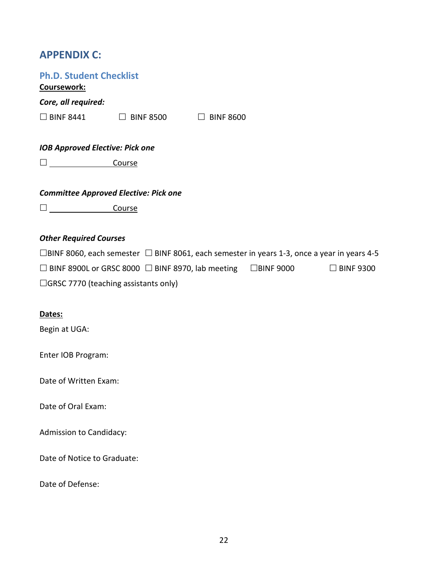## **APPENDIX C:**

| <b>Ph.D. Student Checklist</b><br>Coursework:                                                     |
|---------------------------------------------------------------------------------------------------|
| Core, all required:                                                                               |
| $\Box$ BINF 8441 $\Box$ BINF 8500<br>$\Box$ BINF 8600                                             |
|                                                                                                   |
| <b>IOB Approved Elective: Pick one</b>                                                            |
| <u>Course</u>                                                                                     |
| <b>Committee Approved Elective: Pick one</b>                                                      |
| Course                                                                                            |
|                                                                                                   |
| <b>Other Required Courses</b>                                                                     |
| □BINF 8060, each semester $□$ BINF 8061, each semester in years 1-3, once a year in years 4-5     |
| $\Box$ BINF 8900L or GRSC 8000 $\Box$ BINF 8970, lab meeting $\Box$ BINF 9000<br>$\Box$ BINF 9300 |
| $\Box$ GRSC 7770 (teaching assistants only)                                                       |
|                                                                                                   |
| Dates:                                                                                            |
| Begin at UGA:                                                                                     |
| Enter IOB Program:                                                                                |
| Date of Written Exam:                                                                             |
| Date of Oral Exam:                                                                                |
|                                                                                                   |
| <b>Admission to Candidacy:</b>                                                                    |
| Date of Notice to Graduate:                                                                       |
| Date of Defense:                                                                                  |
|                                                                                                   |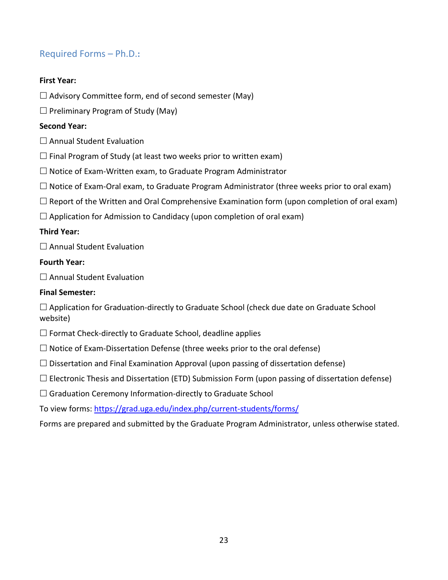## Required Forms – Ph.D.**:**

#### **First Year:**

- $\Box$  Advisory Committee form, end of second semester (May)
- $\square$  Preliminary Program of Study (May)

#### **Second Year:**

- $\square$  Annual Student Evaluation
- $\Box$  Final Program of Study (at least two weeks prior to written exam)
- $\Box$  Notice of Exam-Written exam, to Graduate Program Administrator
- $\Box$  Notice of Exam-Oral exam, to Graduate Program Administrator (three weeks prior to oral exam)
- $\Box$  Report of the Written and Oral Comprehensive Examination form (upon completion of oral exam)
- $\Box$  Application for Admission to Candidacy (upon completion of oral exam)

#### **Third Year:**

 $\square$  Annual Student Evaluation

#### **Fourth Year:**

 $\square$  Annual Student Evaluation

#### **Final Semester:**

 $\Box$  Application for Graduation-directly to Graduate School (check due date on Graduate School website)

- $\Box$  Format Check-directly to Graduate School, deadline applies
- $\Box$  Notice of Exam-Dissertation Defense (three weeks prior to the oral defense)
- $\Box$  Dissertation and Final Examination Approval (upon passing of dissertation defense)
- $\Box$  Electronic Thesis and Dissertation (ETD) Submission Form (upon passing of dissertation defense)
- $\Box$  Graduation Ceremony Information-directly to Graduate School
- To view forms[: https://grad.uga.edu/index.php/current-students/forms/](https://grad.uga.edu/index.php/current-students/forms/)
- Forms are prepared and submitted by the Graduate Program Administrator, unless otherwise stated.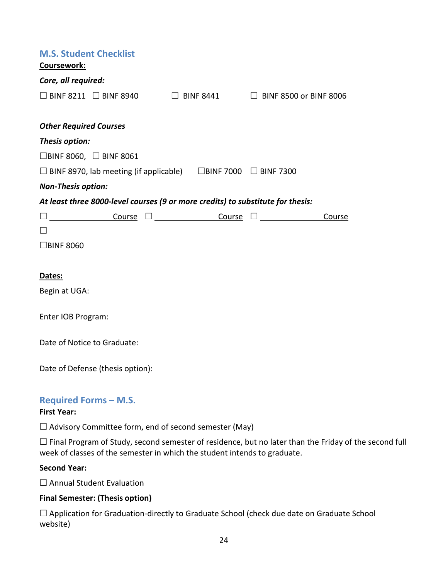| <b>M.S. Student Checklist</b><br>Coursework:     |                                                                                                                                                                                                                                 |  |                                                |        |
|--------------------------------------------------|---------------------------------------------------------------------------------------------------------------------------------------------------------------------------------------------------------------------------------|--|------------------------------------------------|--------|
| Core, all required:                              |                                                                                                                                                                                                                                 |  |                                                |        |
|                                                  | $\Box$ BINF 8211 $\Box$ BINF 8940                                                                                                                                                                                               |  | $\Box$ BINF 8441 $\Box$ BINF 8500 or BINF 8006 |        |
|                                                  |                                                                                                                                                                                                                                 |  |                                                |        |
| <b>Other Required Courses</b>                    |                                                                                                                                                                                                                                 |  |                                                |        |
| Thesis option:                                   |                                                                                                                                                                                                                                 |  |                                                |        |
|                                                  | $\Box$ BINF 8060, $\Box$ BINF 8061                                                                                                                                                                                              |  |                                                |        |
|                                                  | $\Box$ BINF 8970, lab meeting (if applicable) $\Box$ BINF 7000 $\Box$ BINF 7300                                                                                                                                                 |  |                                                |        |
| <b>Non-Thesis option:</b>                        |                                                                                                                                                                                                                                 |  |                                                |        |
|                                                  | At least three 8000-level courses (9 or more credits) to substitute for thesis:                                                                                                                                                 |  |                                                |        |
|                                                  | $\square \underbrace{\hspace{2cm}} \underbrace{\hspace{2cm}} \text{Course} \quad \square \underbrace{\hspace{2cm}} \text{Course} \quad \square \underbrace{\hspace{2cm}} \text{Course} \quad \square \underbrace{\hspace{2cm}}$ |  |                                                | Course |
| $\Box$                                           |                                                                                                                                                                                                                                 |  |                                                |        |
| $\Box$ BINF 8060                                 |                                                                                                                                                                                                                                 |  |                                                |        |
|                                                  |                                                                                                                                                                                                                                 |  |                                                |        |
| Dates:                                           |                                                                                                                                                                                                                                 |  |                                                |        |
| Begin at UGA:                                    |                                                                                                                                                                                                                                 |  |                                                |        |
|                                                  |                                                                                                                                                                                                                                 |  |                                                |        |
| Enter IOB Program:                               |                                                                                                                                                                                                                                 |  |                                                |        |
|                                                  | Date of Notice to Graduate:                                                                                                                                                                                                     |  |                                                |        |
|                                                  |                                                                                                                                                                                                                                 |  |                                                |        |
|                                                  | Date of Defense (thesis option):                                                                                                                                                                                                |  |                                                |        |
|                                                  |                                                                                                                                                                                                                                 |  |                                                |        |
| <b>Required Forms - M.S.</b><br><b>Final Mag</b> |                                                                                                                                                                                                                                 |  |                                                |        |

#### **First Year:**

 $\square$  Advisory Committee form, end of second semester (May)

 Final Program of Study, second semester of residence, but no later than the Friday of the second full week of classes of the semester in which the student intends to graduate.

#### **Second Year:**

□ Annual Student Evaluation

#### **Final Semester: (Thesis option)**

 Application for Graduation-directly to Graduate School (check due date on Graduate School website)